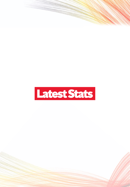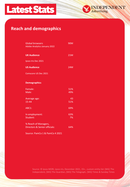



#### **Reach and demographics**

| <b>Global browsers</b><br><b>Adobe Analytics January 2022</b> | 90M |
|---------------------------------------------------------------|-----|
| <b>UK Audience</b>                                            | 21M |
| Ipsos Iris Dec 2021                                           |     |
| <b>US Audience</b>                                            | 24M |
| Comscore US Dec 2021                                          |     |
| <b>Demographics</b>                                           |     |
| Female:                                                       | 51% |
| Male:                                                         | 49% |
| Average age:                                                  | 43  |
| 15-44                                                         | 51% |
| ABC1:                                                         | 69% |
| In employment:                                                | 63% |
| Student:                                                      | 7%  |
| % Reach of Managers,                                          |     |
| <b>Directors &amp; Senior officials:</b>                      | 64% |
| Source: PamCo 1 & PamCo 4 2021                                |     |

Source: © Ipsos MORI, Ipsos iris, December 2021, 15+., custom entity list: [WG] The Independent, [WG] The Guardian, [WG] The Telegraph, [WG] Times & Sunday Times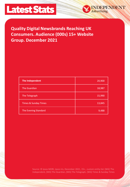

# **Quality Digital Newsbrands Reaching UK Consumers. Audience (000s) 15+ Website Group. December 2021**

NDEPENDENT

Advertising.

| The Independent                 | 20,900 |
|---------------------------------|--------|
| <b>The Guardian</b>             | 18,987 |
| The Telegraph                   | 15,990 |
| <b>Times &amp; Sunday Times</b> | 13,845 |
| The Evening Standard            | 9,488  |

Source: © Ipsos MORI, Ipsos iris, December 2021, 15+., custom entity list: [WG] The Independent, [WG] The Guardian, [WG] The Telegraph, [WG] Times & Sunday Times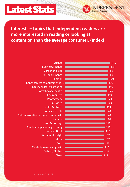

# **Interests – topics that Independent readers are more interested in reading or looking at content on than the average consumer. (Index)**

DEPENDENT

Advertising.

| Science                             | 135 |
|-------------------------------------|-----|
| <b>Business/Finance</b>             | 133 |
| Career and jobs                     | 130 |
| <b>Personal Finance</b>             | 130 |
| <b>Politics</b>                     | 129 |
| Phones tablets computers other      | 127 |
| Baby/Childcare/Parenting            | 127 |
| Arts/Books/Theatre                  | 126 |
| Environment                         | 124 |
| Photography                         | 123 |
| Film/Video                          | 123 |
| <b>Health &amp; fitness</b>         | 121 |
| Home ideas/DIY                      | 120 |
| Natural world/geography/countryside | 120 |
| Gaming                              | 120 |
| <b>Travel &amp; holidays</b>        | 119 |
| Beauty and personal grooming        | 119 |
| <b>Food and Drink</b>               | 118 |
| Women's lifestyle                   | 117 |
| <b>Music</b>                        | 117 |
| Craft                               | 116 |
| Celebrity news and gossip           | 115 |
| Fashion/Clothes                     | 114 |
| <b>News</b>                         | 112 |
|                                     |     |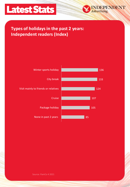

## **Types of holidays in the past 2 years: Independent readers (Index)**



**DEPENDENT** 

*<u>Idvertising.</u>*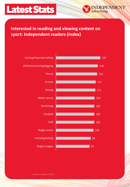

# **Interested in reading and viewing content on sport: Independent readers (Index)**

**EPENDENT** 

vertising.